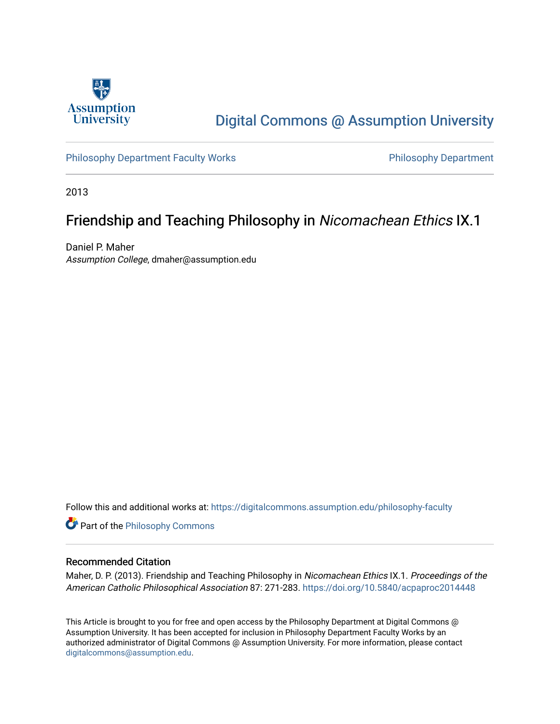

# [Digital Commons @ Assumption University](https://digitalcommons.assumption.edu/)

[Philosophy Department Faculty Works](https://digitalcommons.assumption.edu/philosophy-faculty) **Philosophy Department** 

2013

# Friendship and Teaching Philosophy in Nicomachean Ethics IX.1

Daniel P. Maher Assumption College, dmaher@assumption.edu

Follow this and additional works at: [https://digitalcommons.assumption.edu/philosophy-faculty](https://digitalcommons.assumption.edu/philosophy-faculty?utm_source=digitalcommons.assumption.edu%2Fphilosophy-faculty%2F29&utm_medium=PDF&utm_campaign=PDFCoverPages) 

**Part of the Philosophy Commons** 

### Recommended Citation

Maher, D. P. (2013). Friendship and Teaching Philosophy in Nicomachean Ethics IX.1. Proceedings of the American Catholic Philosophical Association 87: 271-283.<https://doi.org/10.5840/acpaproc2014448>

This Article is brought to you for free and open access by the Philosophy Department at Digital Commons @ Assumption University. It has been accepted for inclusion in Philosophy Department Faculty Works by an authorized administrator of Digital Commons @ Assumption University. For more information, please contact [digitalcommons@assumption.edu](mailto:digitalcommons@assumption.edu).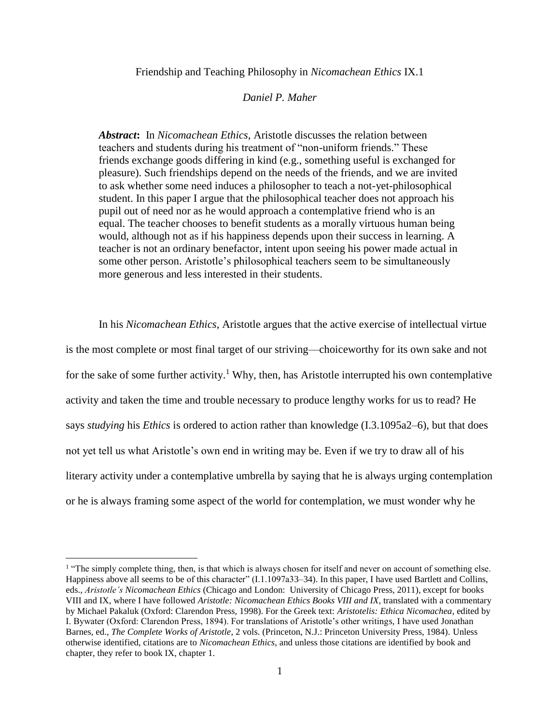Friendship and Teaching Philosophy in *Nicomachean Ethics* IX.1

#### *Daniel P. Maher*

*Abstract***:** In *Nicomachean Ethics*, Aristotle discusses the relation between teachers and students during his treatment of "non-uniform friends." These friends exchange goods differing in kind (e.g., something useful is exchanged for pleasure). Such friendships depend on the needs of the friends, and we are invited to ask whether some need induces a philosopher to teach a not-yet-philosophical student. In this paper I argue that the philosophical teacher does not approach his pupil out of need nor as he would approach a contemplative friend who is an equal. The teacher chooses to benefit students as a morally virtuous human being would, although not as if his happiness depends upon their success in learning. A teacher is not an ordinary benefactor, intent upon seeing his power made actual in some other person. Aristotle's philosophical teachers seem to be simultaneously more generous and less interested in their students.

In his *Nicomachean Ethics*, Aristotle argues that the active exercise of intellectual virtue is the most complete or most final target of our striving––choiceworthy for its own sake and not for the sake of some further activity.<sup>1</sup> Why, then, has Aristotle interrupted his own contemplative activity and taken the time and trouble necessary to produce lengthy works for us to read? He says *studying* his *Ethics* is ordered to action rather than knowledge (I.3.1095a2–6), but that does not yet tell us what Aristotle's own end in writing may be. Even if we try to draw all of his literary activity under a contemplative umbrella by saying that he is always urging contemplation or he is always framing some aspect of the world for contemplation, we must wonder why he

<sup>&</sup>lt;sup>1</sup> "The simply complete thing, then, is that which is always chosen for itself and never on account of something else. Happiness above all seems to be of this character" (I.1.1097a33–34). In this paper, I have used Bartlett and Collins, eds., *Aristotle's Nicomachean Ethics* (Chicago and London: University of Chicago Press, 2011), except for books VIII and IX, where I have followed *Aristotle: Nicomachean Ethics Books VIII and IX*, translated with a commentary by Michael Pakaluk (Oxford: Clarendon Press, 1998). For the Greek text: *Aristotelis: Ethica Nicomachea*, edited by I. Bywater (Oxford: Clarendon Press, 1894). For translations of Aristotle's other writings, I have used Jonathan Barnes, ed., *The Complete Works of Aristotle*, 2 vols. (Princeton, N.J.: Princeton University Press, 1984). Unless otherwise identified, citations are to *Nicomachean Ethics*, and unless those citations are identified by book and chapter, they refer to book IX, chapter 1.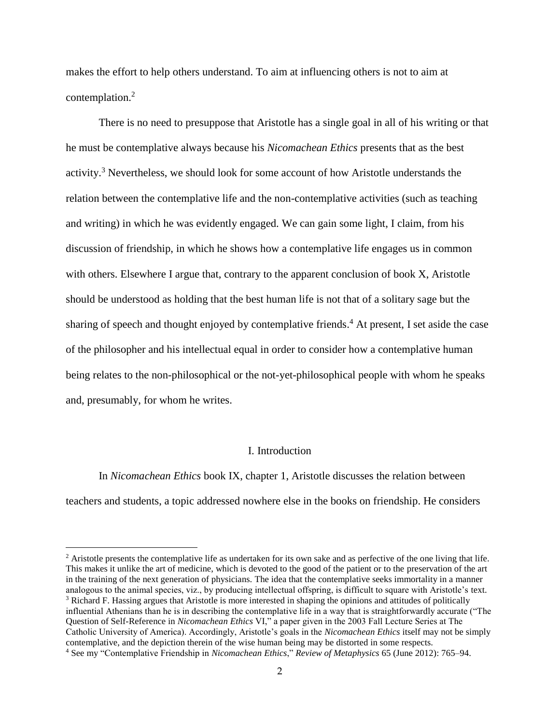makes the effort to help others understand. To aim at influencing others is not to aim at contemplation. 2

There is no need to presuppose that Aristotle has a single goal in all of his writing or that he must be contemplative always because his *Nicomachean Ethics* presents that as the best activity. <sup>3</sup> Nevertheless, we should look for some account of how Aristotle understands the relation between the contemplative life and the non-contemplative activities (such as teaching and writing) in which he was evidently engaged. We can gain some light, I claim, from his discussion of friendship, in which he shows how a contemplative life engages us in common with others. Elsewhere I argue that, contrary to the apparent conclusion of book X, Aristotle should be understood as holding that the best human life is not that of a solitary sage but the sharing of speech and thought enjoyed by contemplative friends.<sup>4</sup> At present, I set aside the case of the philosopher and his intellectual equal in order to consider how a contemplative human being relates to the non-philosophical or the not-yet-philosophical people with whom he speaks and, presumably, for whom he writes.

# I. Introduction

In *Nicomachean Ethics* book IX, chapter 1, Aristotle discusses the relation between teachers and students, a topic addressed nowhere else in the books on friendship. He considers

 $2$  Aristotle presents the contemplative life as undertaken for its own sake and as perfective of the one living that life. This makes it unlike the art of medicine, which is devoted to the good of the patient or to the preservation of the art in the training of the next generation of physicians. The idea that the contemplative seeks immortality in a manner analogous to the animal species, viz., by producing intellectual offspring, is difficult to square with Aristotle's text. <sup>3</sup> Richard F. Hassing argues that Aristotle is more interested in shaping the opinions and attitudes of politically influential Athenians than he is in describing the contemplative life in a way that is straightforwardly accurate ("The Question of Self-Reference in *Nicomachean Ethics* VI," a paper given in the 2003 Fall Lecture Series at The Catholic University of America). Accordingly, Aristotle's goals in the *Nicomachean Ethics* itself may not be simply contemplative, and the depiction therein of the wise human being may be distorted in some respects. <sup>4</sup> See my "Contemplative Friendship in *Nicomachean Ethics*," *Review of Metaphysics* 65 (June 2012): 765–94.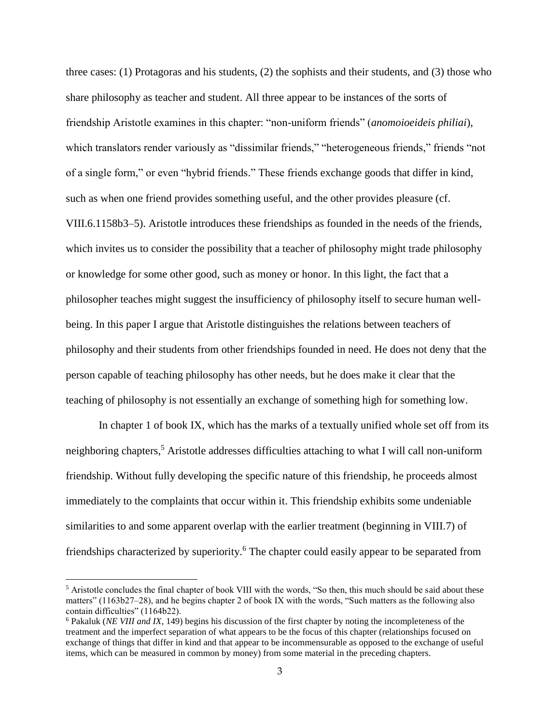three cases: (1) Protagoras and his students, (2) the sophists and their students, and (3) those who share philosophy as teacher and student. All three appear to be instances of the sorts of friendship Aristotle examines in this chapter: "non-uniform friends" (*anomoioeideis philiai*), which translators render variously as "dissimilar friends," "heterogeneous friends," friends "not of a single form," or even "hybrid friends." These friends exchange goods that differ in kind, such as when one friend provides something useful, and the other provides pleasure (cf. VIII.6.1158b3–5). Aristotle introduces these friendships as founded in the needs of the friends, which invites us to consider the possibility that a teacher of philosophy might trade philosophy or knowledge for some other good, such as money or honor. In this light, the fact that a philosopher teaches might suggest the insufficiency of philosophy itself to secure human wellbeing. In this paper I argue that Aristotle distinguishes the relations between teachers of philosophy and their students from other friendships founded in need. He does not deny that the person capable of teaching philosophy has other needs, but he does make it clear that the teaching of philosophy is not essentially an exchange of something high for something low.

In chapter 1 of book IX, which has the marks of a textually unified whole set off from its neighboring chapters,<sup>5</sup> Aristotle addresses difficulties attaching to what I will call non-uniform friendship. Without fully developing the specific nature of this friendship, he proceeds almost immediately to the complaints that occur within it. This friendship exhibits some undeniable similarities to and some apparent overlap with the earlier treatment (beginning in VIII.7) of friendships characterized by superiority.<sup>6</sup> The chapter could easily appear to be separated from

 $<sup>5</sup>$  Aristotle concludes the final chapter of book VIII with the words, "So then, this much should be said about these</sup> matters" (1163b27–28), and he begins chapter 2 of book IX with the words, "Such matters as the following also contain difficulties" (1164b22).

<sup>6</sup> Pakaluk (*NE VIII and IX*, 149) begins his discussion of the first chapter by noting the incompleteness of the treatment and the imperfect separation of what appears to be the focus of this chapter (relationships focused on exchange of things that differ in kind and that appear to be incommensurable as opposed to the exchange of useful items, which can be measured in common by money) from some material in the preceding chapters.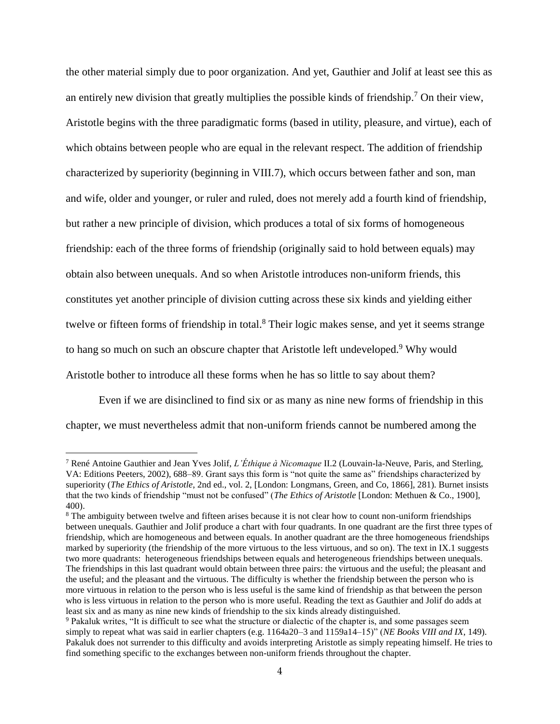the other material simply due to poor organization. And yet, Gauthier and Jolif at least see this as an entirely new division that greatly multiplies the possible kinds of friendship.<sup>7</sup> On their view, Aristotle begins with the three paradigmatic forms (based in utility, pleasure, and virtue), each of which obtains between people who are equal in the relevant respect. The addition of friendship characterized by superiority (beginning in VIII.7), which occurs between father and son, man and wife, older and younger, or ruler and ruled, does not merely add a fourth kind of friendship, but rather a new principle of division, which produces a total of six forms of homogeneous friendship: each of the three forms of friendship (originally said to hold between equals) may obtain also between unequals. And so when Aristotle introduces non-uniform friends, this constitutes yet another principle of division cutting across these six kinds and yielding either twelve or fifteen forms of friendship in total.<sup>8</sup> Their logic makes sense, and yet it seems strange to hang so much on such an obscure chapter that Aristotle left undeveloped.<sup>9</sup> Why would Aristotle bother to introduce all these forms when he has so little to say about them?

Even if we are disinclined to find six or as many as nine new forms of friendship in this chapter, we must nevertheless admit that non-uniform friends cannot be numbered among the

<sup>7</sup> René Antoine Gauthier and Jean Yves Jolif, *L'Éthique à Nicomaque* II.2 (Louvain-la-Neuve, Paris, and Sterling, VA: Editions Peeters, 2002), 688–89. Grant says this form is "not quite the same as" friendships characterized by superiority (*The Ethics of Aristotle*, 2nd ed., vol. 2, [London: Longmans, Green, and Co, 1866], 281). Burnet insists that the two kinds of friendship "must not be confused" (*The Ethics of Aristotle* [London: Methuen & Co., 1900], 400).

<sup>&</sup>lt;sup>8</sup> The ambiguity between twelve and fifteen arises because it is not clear how to count non-uniform friendships between unequals. Gauthier and Jolif produce a chart with four quadrants. In one quadrant are the first three types of friendship, which are homogeneous and between equals. In another quadrant are the three homogeneous friendships marked by superiority (the friendship of the more virtuous to the less virtuous, and so on). The text in IX.1 suggests two more quadrants: heterogeneous friendships between equals and heterogeneous friendships between unequals. The friendships in this last quadrant would obtain between three pairs: the virtuous and the useful; the pleasant and the useful; and the pleasant and the virtuous. The difficulty is whether the friendship between the person who is more virtuous in relation to the person who is less useful is the same kind of friendship as that between the person who is less virtuous in relation to the person who is more useful. Reading the text as Gauthier and Jolif do adds at least six and as many as nine new kinds of friendship to the six kinds already distinguished.

<sup>9</sup> Pakaluk writes, "It is difficult to see what the structure or dialectic of the chapter is, and some passages seem simply to repeat what was said in earlier chapters (e.g. 1164a20–3 and 1159a14–15)" (*NE Books VIII and IX*, 149). Pakaluk does not surrender to this difficulty and avoids interpreting Aristotle as simply repeating himself. He tries to find something specific to the exchanges between non-uniform friends throughout the chapter.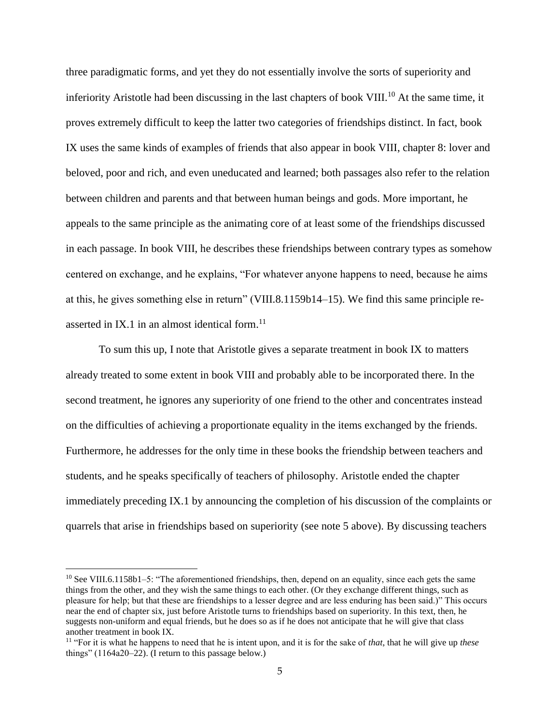three paradigmatic forms, and yet they do not essentially involve the sorts of superiority and inferiority Aristotle had been discussing in the last chapters of book VIII.<sup>10</sup> At the same time, it proves extremely difficult to keep the latter two categories of friendships distinct. In fact, book IX uses the same kinds of examples of friends that also appear in book VIII, chapter 8: lover and beloved, poor and rich, and even uneducated and learned; both passages also refer to the relation between children and parents and that between human beings and gods. More important, he appeals to the same principle as the animating core of at least some of the friendships discussed in each passage. In book VIII, he describes these friendships between contrary types as somehow centered on exchange, and he explains, "For whatever anyone happens to need, because he aims at this, he gives something else in return" (VIII.8.1159b14–15). We find this same principle reasserted in IX.1 in an almost identical form.<sup>11</sup>

To sum this up, I note that Aristotle gives a separate treatment in book IX to matters already treated to some extent in book VIII and probably able to be incorporated there. In the second treatment, he ignores any superiority of one friend to the other and concentrates instead on the difficulties of achieving a proportionate equality in the items exchanged by the friends. Furthermore, he addresses for the only time in these books the friendship between teachers and students, and he speaks specifically of teachers of philosophy. Aristotle ended the chapter immediately preceding IX.1 by announcing the completion of his discussion of the complaints or quarrels that arise in friendships based on superiority (see note 5 above). By discussing teachers

<sup>&</sup>lt;sup>10</sup> See VIII.6.1158b1–5: "The aforementioned friendships, then, depend on an equality, since each gets the same things from the other, and they wish the same things to each other. (Or they exchange different things, such as pleasure for help; but that these are friendships to a lesser degree and are less enduring has been said.)" This occurs near the end of chapter six, just before Aristotle turns to friendships based on superiority. In this text, then, he suggests non-uniform and equal friends, but he does so as if he does not anticipate that he will give that class another treatment in book IX.

<sup>11</sup> "For it is what he happens to need that he is intent upon, and it is for the sake of *that*, that he will give up *these* things" (1164a20–22). (I return to this passage below.)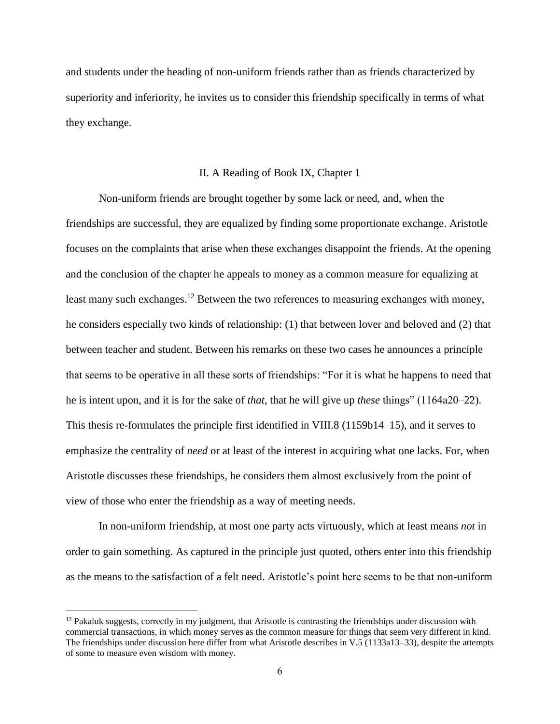and students under the heading of non-uniform friends rather than as friends characterized by superiority and inferiority, he invites us to consider this friendship specifically in terms of what they exchange.

#### II. A Reading of Book IX, Chapter 1

Non-uniform friends are brought together by some lack or need, and, when the friendships are successful, they are equalized by finding some proportionate exchange. Aristotle focuses on the complaints that arise when these exchanges disappoint the friends. At the opening and the conclusion of the chapter he appeals to money as a common measure for equalizing at least many such exchanges.<sup>12</sup> Between the two references to measuring exchanges with money, he considers especially two kinds of relationship: (1) that between lover and beloved and (2) that between teacher and student. Between his remarks on these two cases he announces a principle that seems to be operative in all these sorts of friendships: "For it is what he happens to need that he is intent upon, and it is for the sake of *that*, that he will give up *these* things" (1164a20–22). This thesis re-formulates the principle first identified in VIII.8 (1159b14–15), and it serves to emphasize the centrality of *need* or at least of the interest in acquiring what one lacks. For, when Aristotle discusses these friendships, he considers them almost exclusively from the point of view of those who enter the friendship as a way of meeting needs.

In non-uniform friendship, at most one party acts virtuously, which at least means *not* in order to gain something. As captured in the principle just quoted, others enter into this friendship as the means to the satisfaction of a felt need. Aristotle's point here seems to be that non-uniform

 $12$  Pakaluk suggests, correctly in my judgment, that Aristotle is contrasting the friendships under discussion with commercial transactions, in which money serves as the common measure for things that seem very different in kind. The friendships under discussion here differ from what Aristotle describes in V.5 (1133a13–33), despite the attempts of some to measure even wisdom with money.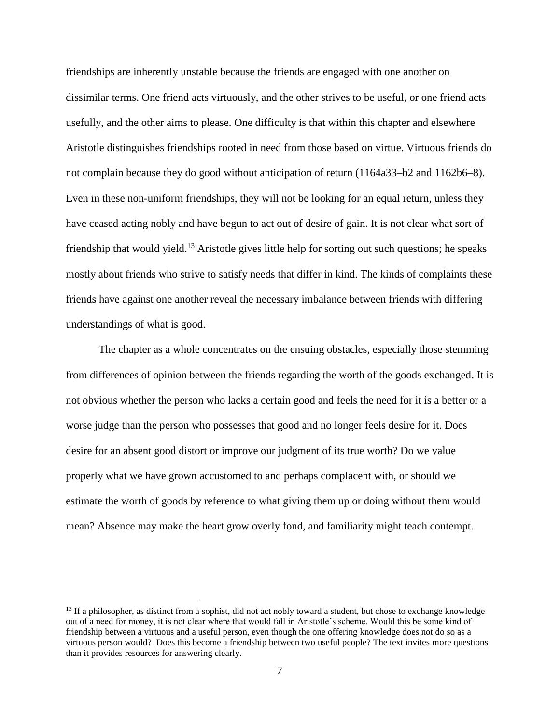friendships are inherently unstable because the friends are engaged with one another on dissimilar terms. One friend acts virtuously, and the other strives to be useful, or one friend acts usefully, and the other aims to please. One difficulty is that within this chapter and elsewhere Aristotle distinguishes friendships rooted in need from those based on virtue. Virtuous friends do not complain because they do good without anticipation of return (1164a33–b2 and 1162b6–8). Even in these non-uniform friendships, they will not be looking for an equal return, unless they have ceased acting nobly and have begun to act out of desire of gain. It is not clear what sort of friendship that would yield.<sup>13</sup> Aristotle gives little help for sorting out such questions; he speaks mostly about friends who strive to satisfy needs that differ in kind. The kinds of complaints these friends have against one another reveal the necessary imbalance between friends with differing understandings of what is good.

The chapter as a whole concentrates on the ensuing obstacles, especially those stemming from differences of opinion between the friends regarding the worth of the goods exchanged. It is not obvious whether the person who lacks a certain good and feels the need for it is a better or a worse judge than the person who possesses that good and no longer feels desire for it. Does desire for an absent good distort or improve our judgment of its true worth? Do we value properly what we have grown accustomed to and perhaps complacent with, or should we estimate the worth of goods by reference to what giving them up or doing without them would mean? Absence may make the heart grow overly fond, and familiarity might teach contempt.

<sup>&</sup>lt;sup>13</sup> If a philosopher, as distinct from a sophist, did not act nobly toward a student, but chose to exchange knowledge out of a need for money, it is not clear where that would fall in Aristotle's scheme. Would this be some kind of friendship between a virtuous and a useful person, even though the one offering knowledge does not do so as a virtuous person would? Does this become a friendship between two useful people? The text invites more questions than it provides resources for answering clearly.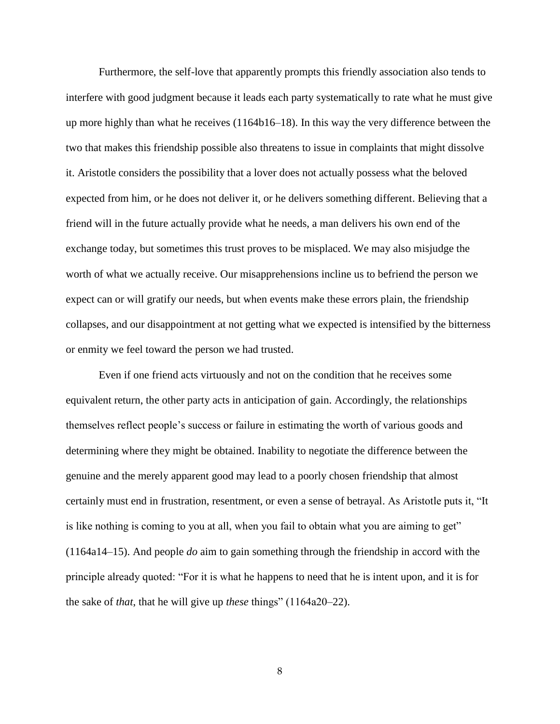Furthermore, the self-love that apparently prompts this friendly association also tends to interfere with good judgment because it leads each party systematically to rate what he must give up more highly than what he receives (1164b16–18). In this way the very difference between the two that makes this friendship possible also threatens to issue in complaints that might dissolve it. Aristotle considers the possibility that a lover does not actually possess what the beloved expected from him, or he does not deliver it, or he delivers something different. Believing that a friend will in the future actually provide what he needs, a man delivers his own end of the exchange today, but sometimes this trust proves to be misplaced. We may also misjudge the worth of what we actually receive. Our misapprehensions incline us to befriend the person we expect can or will gratify our needs, but when events make these errors plain, the friendship collapses, and our disappointment at not getting what we expected is intensified by the bitterness or enmity we feel toward the person we had trusted.

Even if one friend acts virtuously and not on the condition that he receives some equivalent return, the other party acts in anticipation of gain. Accordingly, the relationships themselves reflect people's success or failure in estimating the worth of various goods and determining where they might be obtained. Inability to negotiate the difference between the genuine and the merely apparent good may lead to a poorly chosen friendship that almost certainly must end in frustration, resentment, or even a sense of betrayal. As Aristotle puts it, "It is like nothing is coming to you at all, when you fail to obtain what you are aiming to get" (1164a14–15). And people *do* aim to gain something through the friendship in accord with the principle already quoted: "For it is what he happens to need that he is intent upon, and it is for the sake of *that*, that he will give up *these* things" (1164a20–22).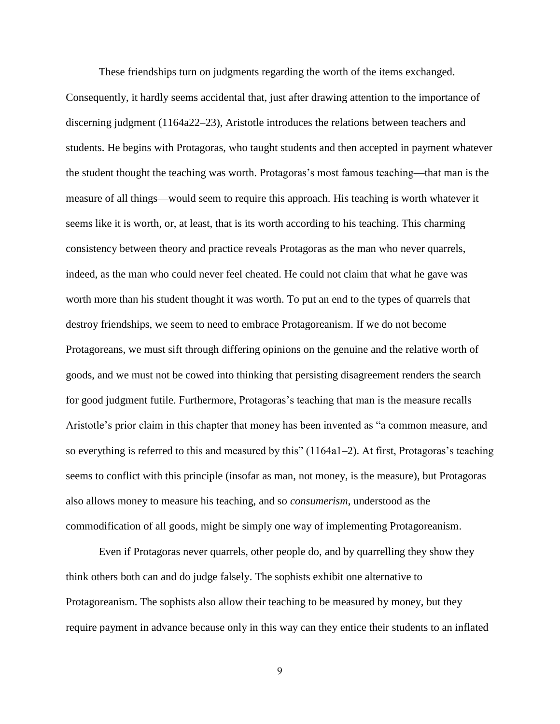These friendships turn on judgments regarding the worth of the items exchanged. Consequently, it hardly seems accidental that, just after drawing attention to the importance of discerning judgment (1164a22–23), Aristotle introduces the relations between teachers and students. He begins with Protagoras, who taught students and then accepted in payment whatever the student thought the teaching was worth. Protagoras's most famous teaching—that man is the measure of all things—would seem to require this approach. His teaching is worth whatever it seems like it is worth, or, at least, that is its worth according to his teaching. This charming consistency between theory and practice reveals Protagoras as the man who never quarrels, indeed, as the man who could never feel cheated. He could not claim that what he gave was worth more than his student thought it was worth. To put an end to the types of quarrels that destroy friendships, we seem to need to embrace Protagoreanism. If we do not become Protagoreans, we must sift through differing opinions on the genuine and the relative worth of goods, and we must not be cowed into thinking that persisting disagreement renders the search for good judgment futile. Furthermore, Protagoras's teaching that man is the measure recalls Aristotle's prior claim in this chapter that money has been invented as "a common measure, and so everything is referred to this and measured by this" (1164a1–2). At first, Protagoras's teaching seems to conflict with this principle (insofar as man, not money, is the measure), but Protagoras also allows money to measure his teaching, and so *consumerism*, understood as the commodification of all goods, might be simply one way of implementing Protagoreanism.

Even if Protagoras never quarrels, other people do, and by quarrelling they show they think others both can and do judge falsely. The sophists exhibit one alternative to Protagoreanism. The sophists also allow their teaching to be measured by money, but they require payment in advance because only in this way can they entice their students to an inflated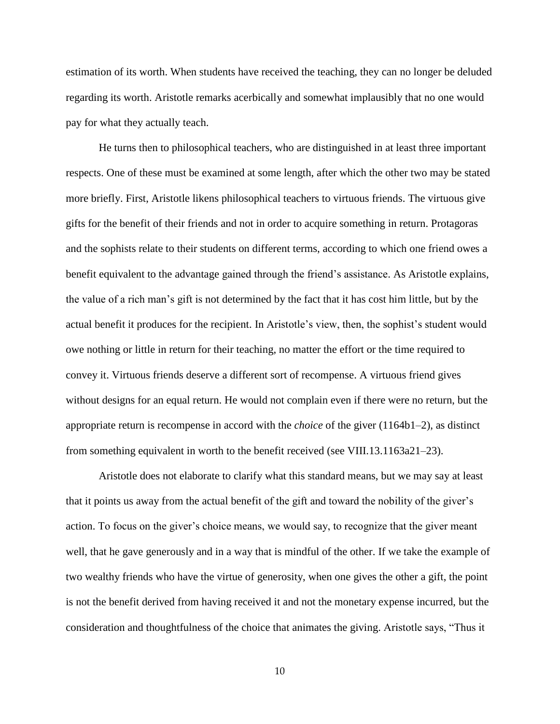estimation of its worth. When students have received the teaching, they can no longer be deluded regarding its worth. Aristotle remarks acerbically and somewhat implausibly that no one would pay for what they actually teach.

He turns then to philosophical teachers, who are distinguished in at least three important respects. One of these must be examined at some length, after which the other two may be stated more briefly. First, Aristotle likens philosophical teachers to virtuous friends. The virtuous give gifts for the benefit of their friends and not in order to acquire something in return. Protagoras and the sophists relate to their students on different terms, according to which one friend owes a benefit equivalent to the advantage gained through the friend's assistance. As Aristotle explains, the value of a rich man's gift is not determined by the fact that it has cost him little, but by the actual benefit it produces for the recipient. In Aristotle's view, then, the sophist's student would owe nothing or little in return for their teaching, no matter the effort or the time required to convey it. Virtuous friends deserve a different sort of recompense. A virtuous friend gives without designs for an equal return. He would not complain even if there were no return, but the appropriate return is recompense in accord with the *choice* of the giver (1164b1–2), as distinct from something equivalent in worth to the benefit received (see VIII.13.1163a21–23).

Aristotle does not elaborate to clarify what this standard means, but we may say at least that it points us away from the actual benefit of the gift and toward the nobility of the giver's action. To focus on the giver's choice means, we would say, to recognize that the giver meant well, that he gave generously and in a way that is mindful of the other. If we take the example of two wealthy friends who have the virtue of generosity, when one gives the other a gift, the point is not the benefit derived from having received it and not the monetary expense incurred, but the consideration and thoughtfulness of the choice that animates the giving. Aristotle says, "Thus it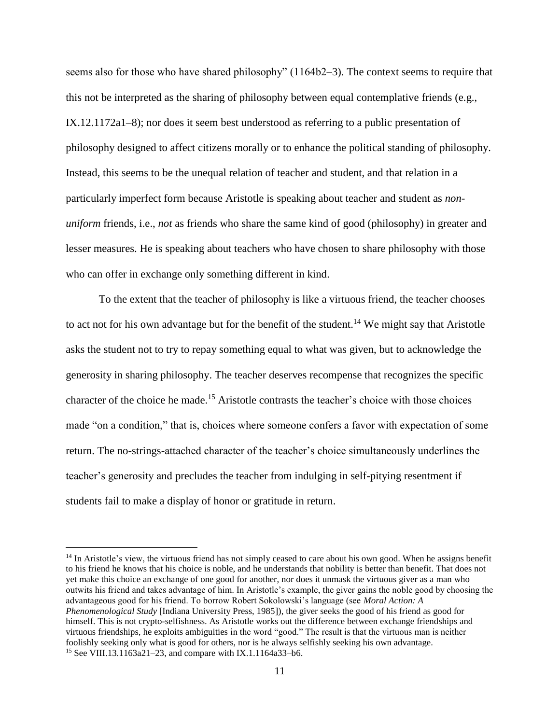seems also for those who have shared philosophy" (1164b2–3). The context seems to require that this not be interpreted as the sharing of philosophy between equal contemplative friends (e.g., IX.12.1172a1–8); nor does it seem best understood as referring to a public presentation of philosophy designed to affect citizens morally or to enhance the political standing of philosophy. Instead, this seems to be the unequal relation of teacher and student, and that relation in a particularly imperfect form because Aristotle is speaking about teacher and student as *nonuniform* friends, i.e., *not* as friends who share the same kind of good (philosophy) in greater and lesser measures. He is speaking about teachers who have chosen to share philosophy with those who can offer in exchange only something different in kind.

To the extent that the teacher of philosophy is like a virtuous friend, the teacher chooses to act not for his own advantage but for the benefit of the student.<sup>14</sup> We might say that Aristotle asks the student not to try to repay something equal to what was given, but to acknowledge the generosity in sharing philosophy. The teacher deserves recompense that recognizes the specific character of the choice he made. <sup>15</sup> Aristotle contrasts the teacher's choice with those choices made "on a condition," that is, choices where someone confers a favor with expectation of some return. The no-strings-attached character of the teacher's choice simultaneously underlines the teacher's generosity and precludes the teacher from indulging in self-pitying resentment if students fail to make a display of honor or gratitude in return.

<sup>&</sup>lt;sup>14</sup> In Aristotle's view, the virtuous friend has not simply ceased to care about his own good. When he assigns benefit to his friend he knows that his choice is noble, and he understands that nobility is better than benefit. That does not yet make this choice an exchange of one good for another, nor does it unmask the virtuous giver as a man who outwits his friend and takes advantage of him. In Aristotle's example, the giver gains the noble good by choosing the advantageous good for his friend. To borrow Robert Sokolowski's language (see *Moral Action: A Phenomenological Study* [Indiana University Press, 1985]), the giver seeks the good of his friend as good for himself. This is not crypto-selfishness. As Aristotle works out the difference between exchange friendships and virtuous friendships, he exploits ambiguities in the word "good." The result is that the virtuous man is neither foolishly seeking only what is good for others, nor is he always selfishly seeking his own advantage. <sup>15</sup> See VIII.13.1163a21–23, and compare with IX.1.1164a33–b6.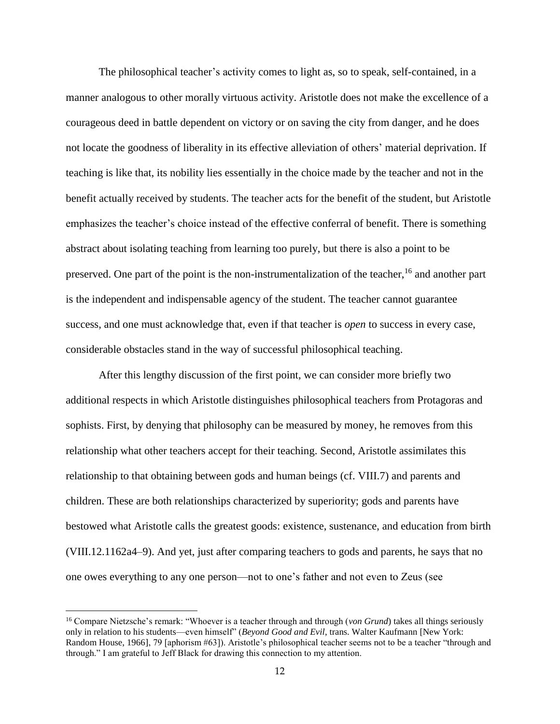The philosophical teacher's activity comes to light as, so to speak, self-contained, in a manner analogous to other morally virtuous activity. Aristotle does not make the excellence of a courageous deed in battle dependent on victory or on saving the city from danger, and he does not locate the goodness of liberality in its effective alleviation of others' material deprivation. If teaching is like that, its nobility lies essentially in the choice made by the teacher and not in the benefit actually received by students. The teacher acts for the benefit of the student, but Aristotle emphasizes the teacher's choice instead of the effective conferral of benefit. There is something abstract about isolating teaching from learning too purely, but there is also a point to be preserved. One part of the point is the non-instrumentalization of the teacher, <sup>16</sup> and another part is the independent and indispensable agency of the student. The teacher cannot guarantee success, and one must acknowledge that, even if that teacher is *open* to success in every case, considerable obstacles stand in the way of successful philosophical teaching.

After this lengthy discussion of the first point, we can consider more briefly two additional respects in which Aristotle distinguishes philosophical teachers from Protagoras and sophists. First, by denying that philosophy can be measured by money, he removes from this relationship what other teachers accept for their teaching. Second, Aristotle assimilates this relationship to that obtaining between gods and human beings (cf. VIII.7) and parents and children. These are both relationships characterized by superiority; gods and parents have bestowed what Aristotle calls the greatest goods: existence, sustenance, and education from birth (VIII.12.1162a4–9). And yet, just after comparing teachers to gods and parents, he says that no one owes everything to any one person—not to one's father and not even to Zeus (see

<sup>16</sup> Compare Nietzsche's remark: "Whoever is a teacher through and through (*von Grund*) takes all things seriously only in relation to his students—even himself" (*Beyond Good and Evil*, trans. Walter Kaufmann [New York: Random House, 1966], 79 [aphorism #63]). Aristotle's philosophical teacher seems not to be a teacher "through and through." I am grateful to Jeff Black for drawing this connection to my attention.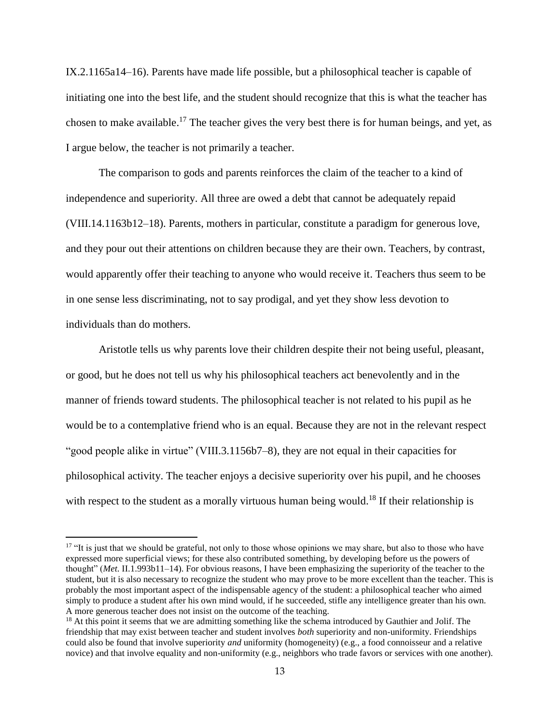IX.2.1165a14–16). Parents have made life possible, but a philosophical teacher is capable of initiating one into the best life, and the student should recognize that this is what the teacher has chosen to make available.<sup>17</sup> The teacher gives the very best there is for human beings, and yet, as I argue below, the teacher is not primarily a teacher.

The comparison to gods and parents reinforces the claim of the teacher to a kind of independence and superiority. All three are owed a debt that cannot be adequately repaid (VIII.14.1163b12–18). Parents, mothers in particular, constitute a paradigm for generous love, and they pour out their attentions on children because they are their own. Teachers, by contrast, would apparently offer their teaching to anyone who would receive it. Teachers thus seem to be in one sense less discriminating, not to say prodigal, and yet they show less devotion to individuals than do mothers.

Aristotle tells us why parents love their children despite their not being useful, pleasant, or good, but he does not tell us why his philosophical teachers act benevolently and in the manner of friends toward students. The philosophical teacher is not related to his pupil as he would be to a contemplative friend who is an equal. Because they are not in the relevant respect "good people alike in virtue" (VIII.3.1156b7–8), they are not equal in their capacities for philosophical activity. The teacher enjoys a decisive superiority over his pupil, and he chooses with respect to the student as a morally virtuous human being would.<sup>18</sup> If their relationship is

<sup>&</sup>lt;sup>17</sup> "It is just that we should be grateful, not only to those whose opinions we may share, but also to those who have expressed more superficial views; for these also contributed something, by developing before us the powers of thought" (*Met*. II.1.993b11–14). For obvious reasons, I have been emphasizing the superiority of the teacher to the student, but it is also necessary to recognize the student who may prove to be more excellent than the teacher. This is probably the most important aspect of the indispensable agency of the student: a philosophical teacher who aimed simply to produce a student after his own mind would, if he succeeded, stifle any intelligence greater than his own. A more generous teacher does not insist on the outcome of the teaching.

<sup>&</sup>lt;sup>18</sup> At this point it seems that we are admitting something like the schema introduced by Gauthier and Jolif. The friendship that may exist between teacher and student involves *both* superiority and non-uniformity. Friendships could also be found that involve superiority *and* uniformity (homogeneity) (e.g., a food connoisseur and a relative novice) and that involve equality and non-uniformity (e.g., neighbors who trade favors or services with one another).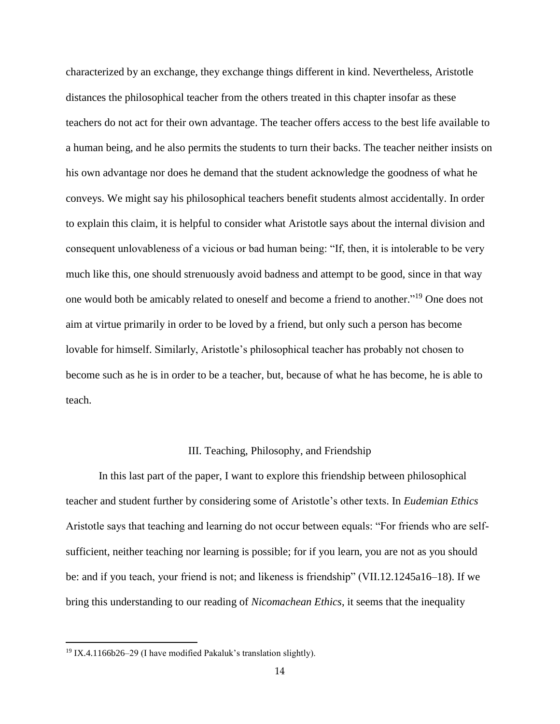characterized by an exchange, they exchange things different in kind. Nevertheless, Aristotle distances the philosophical teacher from the others treated in this chapter insofar as these teachers do not act for their own advantage. The teacher offers access to the best life available to a human being, and he also permits the students to turn their backs. The teacher neither insists on his own advantage nor does he demand that the student acknowledge the goodness of what he conveys. We might say his philosophical teachers benefit students almost accidentally. In order to explain this claim, it is helpful to consider what Aristotle says about the internal division and consequent unlovableness of a vicious or bad human being: "If, then, it is intolerable to be very much like this, one should strenuously avoid badness and attempt to be good, since in that way one would both be amicably related to oneself and become a friend to another." <sup>19</sup> One does not aim at virtue primarily in order to be loved by a friend, but only such a person has become lovable for himself. Similarly, Aristotle's philosophical teacher has probably not chosen to become such as he is in order to be a teacher, but, because of what he has become, he is able to teach.

# III. Teaching, Philosophy, and Friendship

In this last part of the paper, I want to explore this friendship between philosophical teacher and student further by considering some of Aristotle's other texts. In *Eudemian Ethics* Aristotle says that teaching and learning do not occur between equals: "For friends who are selfsufficient, neither teaching nor learning is possible; for if you learn, you are not as you should be: and if you teach, your friend is not; and likeness is friendship" (VII.12.1245a16–18). If we bring this understanding to our reading of *Nicomachean Ethics*, it seems that the inequality

<sup>&</sup>lt;sup>19</sup> IX.4.1166b26–29 (I have modified Pakaluk's translation slightly).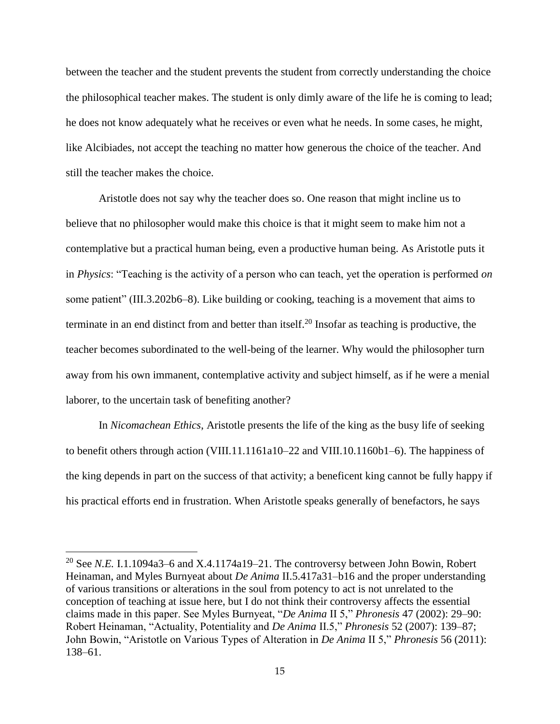between the teacher and the student prevents the student from correctly understanding the choice the philosophical teacher makes. The student is only dimly aware of the life he is coming to lead; he does not know adequately what he receives or even what he needs. In some cases, he might, like Alcibiades, not accept the teaching no matter how generous the choice of the teacher. And still the teacher makes the choice.

Aristotle does not say why the teacher does so. One reason that might incline us to believe that no philosopher would make this choice is that it might seem to make him not a contemplative but a practical human being, even a productive human being. As Aristotle puts it in *Physics*: "Teaching is the activity of a person who can teach, yet the operation is performed *on* some patient" (III.3.202b6–8). Like building or cooking, teaching is a movement that aims to terminate in an end distinct from and better than itself. <sup>20</sup> Insofar as teaching is productive, the teacher becomes subordinated to the well-being of the learner. Why would the philosopher turn away from his own immanent, contemplative activity and subject himself, as if he were a menial laborer, to the uncertain task of benefiting another?

In *Nicomachean Ethics*, Aristotle presents the life of the king as the busy life of seeking to benefit others through action (VIII.11.1161a10–22 and VIII.10.1160b1–6). The happiness of the king depends in part on the success of that activity; a beneficent king cannot be fully happy if his practical efforts end in frustration. When Aristotle speaks generally of benefactors, he says

<sup>&</sup>lt;sup>20</sup> See *N.E.* I.1.1094a3–6 and X.4.1174a19–21. The controversy between John Bowin, Robert Heinaman, and Myles Burnyeat about *De Anima* II.5.417a31–b16 and the proper understanding of various transitions or alterations in the soul from potency to act is not unrelated to the conception of teaching at issue here, but I do not think their controversy affects the essential claims made in this paper. See Myles Burnyeat, "*De Anima* II 5," *Phronesis* 47 (2002): 29–90: Robert Heinaman, "Actuality, Potentiality and *De Anima* II.5," *Phronesis* 52 (2007): 139–87; John Bowin, "Aristotle on Various Types of Alteration in *De Anima* II 5," *Phronesis* 56 (2011): 138–61.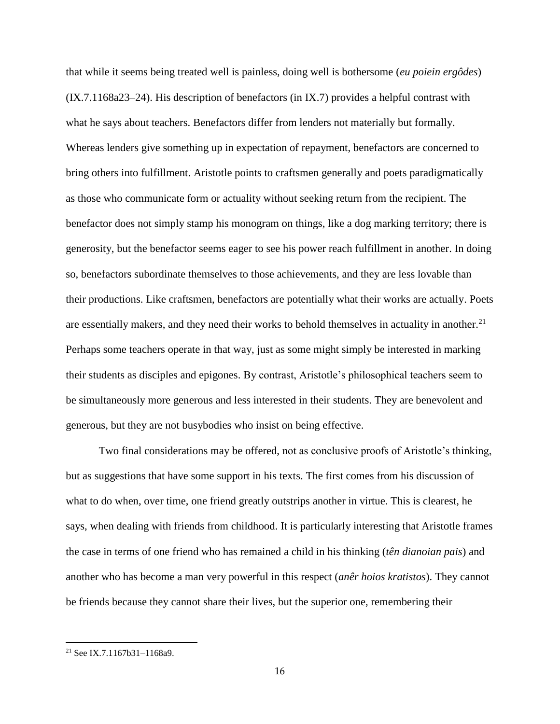that while it seems being treated well is painless, doing well is bothersome (*eu poiein ergôdes*) (IX.7.1168a23–24). His description of benefactors (in IX.7) provides a helpful contrast with what he says about teachers. Benefactors differ from lenders not materially but formally. Whereas lenders give something up in expectation of repayment, benefactors are concerned to bring others into fulfillment. Aristotle points to craftsmen generally and poets paradigmatically as those who communicate form or actuality without seeking return from the recipient. The benefactor does not simply stamp his monogram on things, like a dog marking territory; there is generosity, but the benefactor seems eager to see his power reach fulfillment in another. In doing so, benefactors subordinate themselves to those achievements, and they are less lovable than their productions. Like craftsmen, benefactors are potentially what their works are actually. Poets are essentially makers, and they need their works to behold themselves in actuality in another.<sup>21</sup> Perhaps some teachers operate in that way, just as some might simply be interested in marking their students as disciples and epigones. By contrast, Aristotle's philosophical teachers seem to be simultaneously more generous and less interested in their students. They are benevolent and generous, but they are not busybodies who insist on being effective.

Two final considerations may be offered, not as conclusive proofs of Aristotle's thinking, but as suggestions that have some support in his texts. The first comes from his discussion of what to do when, over time, one friend greatly outstrips another in virtue. This is clearest, he says, when dealing with friends from childhood. It is particularly interesting that Aristotle frames the case in terms of one friend who has remained a child in his thinking (*tên dianoian pais*) and another who has become a man very powerful in this respect (*anêr hoios kratistos*). They cannot be friends because they cannot share their lives, but the superior one, remembering their

 $21$  See IX.7.1167b31-1168a9.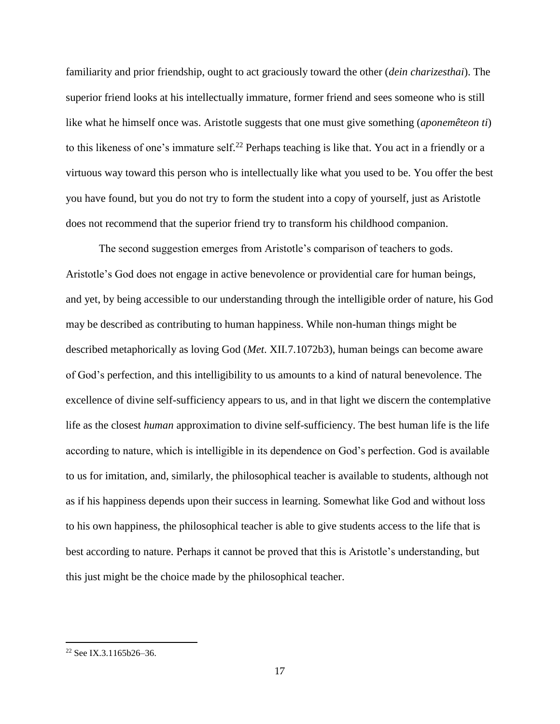familiarity and prior friendship, ought to act graciously toward the other (*dein charizesthai*). The superior friend looks at his intellectually immature, former friend and sees someone who is still like what he himself once was. Aristotle suggests that one must give something (*aponemêteon ti*) to this likeness of one's immature self.<sup>22</sup> Perhaps teaching is like that. You act in a friendly or a virtuous way toward this person who is intellectually like what you used to be. You offer the best you have found, but you do not try to form the student into a copy of yourself, just as Aristotle does not recommend that the superior friend try to transform his childhood companion.

The second suggestion emerges from Aristotle's comparison of teachers to gods. Aristotle's God does not engage in active benevolence or providential care for human beings, and yet, by being accessible to our understanding through the intelligible order of nature, his God may be described as contributing to human happiness. While non-human things might be described metaphorically as loving God (*Met*. XII.7.1072b3), human beings can become aware of God's perfection, and this intelligibility to us amounts to a kind of natural benevolence. The excellence of divine self-sufficiency appears to us, and in that light we discern the contemplative life as the closest *human* approximation to divine self-sufficiency. The best human life is the life according to nature, which is intelligible in its dependence on God's perfection. God is available to us for imitation, and, similarly, the philosophical teacher is available to students, although not as if his happiness depends upon their success in learning. Somewhat like God and without loss to his own happiness, the philosophical teacher is able to give students access to the life that is best according to nature. Perhaps it cannot be proved that this is Aristotle's understanding, but this just might be the choice made by the philosophical teacher.

<sup>&</sup>lt;sup>22</sup> See IX.3.1165b26-36.